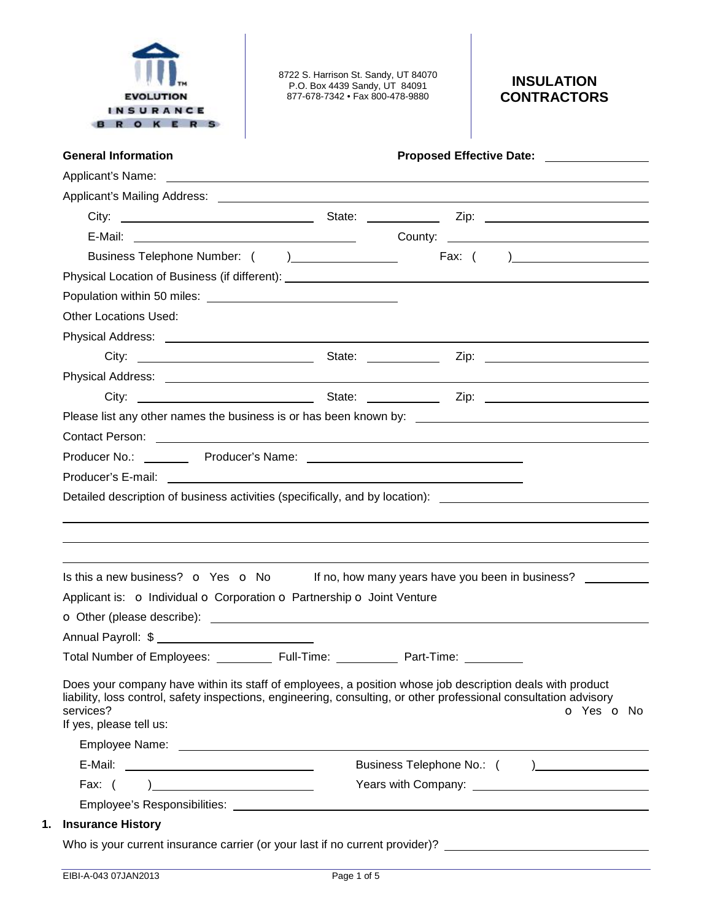

8722 S. Harrison St. Sandy, UT 84070 P.O. Box 4439 Sandy, UT 84091 877-678-7342 • Fax 800-478-9880

# **INSULATION CONTRACTORS**

| <b>General Information</b>                                                                                                                                                                                                           |                                                                                                                                                                                                                                              |
|--------------------------------------------------------------------------------------------------------------------------------------------------------------------------------------------------------------------------------------|----------------------------------------------------------------------------------------------------------------------------------------------------------------------------------------------------------------------------------------------|
|                                                                                                                                                                                                                                      | Applicant's Name: <u>example and a series of the series of the series of the series of the series of the series of the series of the series of the series of the series of the series of the series of the series of the series </u>         |
|                                                                                                                                                                                                                                      |                                                                                                                                                                                                                                              |
|                                                                                                                                                                                                                                      |                                                                                                                                                                                                                                              |
|                                                                                                                                                                                                                                      |                                                                                                                                                                                                                                              |
|                                                                                                                                                                                                                                      |                                                                                                                                                                                                                                              |
|                                                                                                                                                                                                                                      |                                                                                                                                                                                                                                              |
|                                                                                                                                                                                                                                      |                                                                                                                                                                                                                                              |
| <b>Other Locations Used:</b>                                                                                                                                                                                                         |                                                                                                                                                                                                                                              |
|                                                                                                                                                                                                                                      |                                                                                                                                                                                                                                              |
|                                                                                                                                                                                                                                      |                                                                                                                                                                                                                                              |
|                                                                                                                                                                                                                                      |                                                                                                                                                                                                                                              |
|                                                                                                                                                                                                                                      |                                                                                                                                                                                                                                              |
|                                                                                                                                                                                                                                      |                                                                                                                                                                                                                                              |
| Contact Person: <u>contact of the set of the set of the set of the set of the set of the set of the set of the set of the set of the set of the set of the set of the set of the set of the set of the set of the set of the set</u> |                                                                                                                                                                                                                                              |
|                                                                                                                                                                                                                                      |                                                                                                                                                                                                                                              |
|                                                                                                                                                                                                                                      |                                                                                                                                                                                                                                              |
|                                                                                                                                                                                                                                      |                                                                                                                                                                                                                                              |
|                                                                                                                                                                                                                                      |                                                                                                                                                                                                                                              |
|                                                                                                                                                                                                                                      | Is this a new business? $\bullet$ Yes $\bullet$ No If no, how many years have you been in business?                                                                                                                                          |
| Applicant is: o Individual o Corporation o Partnership o Joint Venture                                                                                                                                                               |                                                                                                                                                                                                                                              |
|                                                                                                                                                                                                                                      |                                                                                                                                                                                                                                              |
|                                                                                                                                                                                                                                      |                                                                                                                                                                                                                                              |
| Total Number of Employees: ____________ Full-Time: ____________ Part-Time:                                                                                                                                                           |                                                                                                                                                                                                                                              |
| services?<br>If yes, please tell us:                                                                                                                                                                                                 | Does your company have within its staff of employees, a position whose job description deals with product<br>liability, loss control, safety inspections, engineering, consulting, or other professional consultation advisory<br>o Yes o No |
|                                                                                                                                                                                                                                      |                                                                                                                                                                                                                                              |
|                                                                                                                                                                                                                                      |                                                                                                                                                                                                                                              |
|                                                                                                                                                                                                                                      |                                                                                                                                                                                                                                              |
| Employee's Responsibilities: We are a series of the series of the series of the series of the series of the series of the series of the series of the series of the series of the series of the series of the series of the se       |                                                                                                                                                                                                                                              |
| <b>Insurance History</b>                                                                                                                                                                                                             |                                                                                                                                                                                                                                              |
| Who is your current insurance carrier (or your last if no current provider)? _______________________                                                                                                                                 |                                                                                                                                                                                                                                              |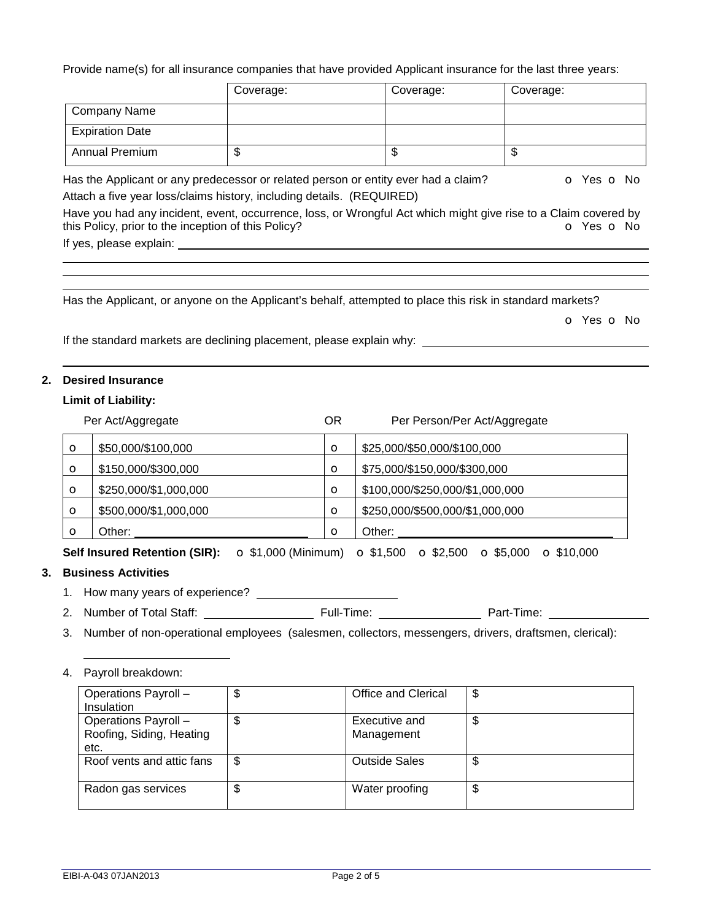Provide name(s) for all insurance companies that have provided Applicant insurance for the last three years:

|                                                     | Coverage:                                                                                                                                                                                                                            | Coverage:                                                                                                 | Coverage:                                                                                                                                                 |
|-----------------------------------------------------|--------------------------------------------------------------------------------------------------------------------------------------------------------------------------------------------------------------------------------------|-----------------------------------------------------------------------------------------------------------|-----------------------------------------------------------------------------------------------------------------------------------------------------------|
| <b>Company Name</b>                                 |                                                                                                                                                                                                                                      |                                                                                                           |                                                                                                                                                           |
| <b>Expiration Date</b>                              |                                                                                                                                                                                                                                      |                                                                                                           |                                                                                                                                                           |
| <b>Annual Premium</b>                               | \$                                                                                                                                                                                                                                   | \$                                                                                                        | \$                                                                                                                                                        |
|                                                     | Attach a five year loss/claims history, including details. (REQUIRED)                                                                                                                                                                | Has the Applicant or any predecessor or related person or entity ever had a claim?                        | <b>o</b> Yes <b>o</b> No<br>Have you had any incident, event, occurrence, loss, or Wrongful Act which might give rise to a Claim covered by<br>O Yes O No |
| this Policy, prior to the inception of this Policy? | If yes, please explain: <u>contract the set of the set of the set of the set of the set of the set of the set of the set of the set of the set of the set of the set of the set of the set of the set of the set of the set of t</u> |                                                                                                           |                                                                                                                                                           |
|                                                     |                                                                                                                                                                                                                                      | Has the Applicant, or anyone on the Applicant's behalf, attempted to place this risk in standard markets? |                                                                                                                                                           |
|                                                     |                                                                                                                                                                                                                                      |                                                                                                           | O Yes O No                                                                                                                                                |
|                                                     | If the standard markets are declining placement, please explain why:                                                                                                                                                                 |                                                                                                           |                                                                                                                                                           |

## **2. Desired Insurance**

### **Limit of Liability:**

|          | Per Act/Aggregate     | ΟR      | Per Person/Per Act/Aggregate    |
|----------|-----------------------|---------|---------------------------------|
| $\circ$  | \$50,000/\$100,000    | $\circ$ | \$25,000/\$50,000/\$100,000     |
| $\circ$  | \$150,000/\$300,000   | $\circ$ | \$75,000/\$150,000/\$300,000    |
| $\circ$  | \$250,000/\$1,000,000 | $\circ$ | \$100,000/\$250,000/\$1,000,000 |
| $\circ$  | \$500,000/\$1,000,000 | $\circ$ | \$250,000/\$500,000/\$1,000,000 |
| $\Omega$ | Other:                | $\circ$ | Other:                          |

**Self Insured Retention (SIR):** o \$1,000 (Minimum) o \$1,500 o \$2,500 o \$5,000 o \$10,000

## **3. Business Activities**

- 1. How many years of experience?
- 2. Number of Total Staff: Full-Time: Part-Time:
- 3. Number of non-operational employees (salesmen, collectors, messengers, drivers, draftsmen, clerical):

### 4. Payroll breakdown:

| Operations Payroll -<br>Insulation                       | Φ  | <b>Office and Clerical</b>  | \$ |
|----------------------------------------------------------|----|-----------------------------|----|
| Operations Payroll -<br>Roofing, Siding, Heating<br>etc. |    | Executive and<br>Management | \$ |
| Roof vents and attic fans                                | \$ | <b>Outside Sales</b>        | \$ |
| Radon gas services                                       | J  | Water proofing              | \$ |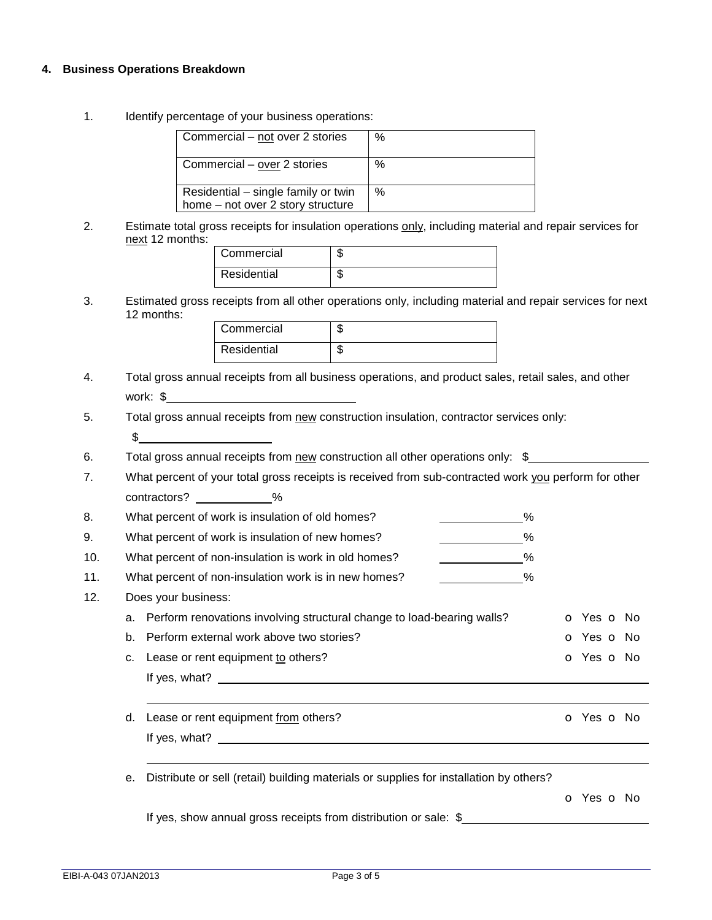#### **4. Business Operations Breakdown**

1. Identify percentage of your business operations:

| Commercial - not over 2 stories                                          | %    |
|--------------------------------------------------------------------------|------|
| Commercial - over 2 stories                                              | $\%$ |
| Residential - single family or twin<br>home – not over 2 story structure | $\%$ |

2. Estimate total gross receipts for insulation operations only, including material and repair services for next 12 months:

| Commercial  | ۰Т. |
|-------------|-----|
| Residential |     |

3. Estimated gross receipts from all other operations only, including material and repair services for next 12 months:

| Commercial  | Œ |
|-------------|---|
| Residential | Œ |

- 4. Total gross annual receipts from all business operations, and product sales, retail sales, and other work: \$
- 5. Total gross annual receipts from new construction insulation, contractor services only:  $\sim$
- 6. Total gross annual receipts from new construction all other operations only: \$
- 7. What percent of your total gross receipts is received from sub-contracted work you perform for other contractors? \_\_\_\_\_\_\_\_\_\_%

| 8.  | What percent of work is insulation of old homes?<br>$\%$                  |            |
|-----|---------------------------------------------------------------------------|------------|
| 9.  | What percent of work is insulation of new homes?<br>$\%$                  |            |
| 10. | What percent of non-insulation is work in old homes?<br>%                 |            |
| 11. | What percent of non-insulation work is in new homes?<br>$\%$              |            |
| 12. | Does your business:                                                       |            |
|     | a. Perform renovations involving structural change to load-bearing walls? | O Yes O No |
|     | Perform external work above two stories?<br>b.                            | O Yes O No |
|     | Lease or rent equipment to others?<br>C.                                  | o Yes o No |
|     | If yes, what?                                                             |            |

- d. Lease or rent equipment from others? Calculation of the control of the Calculation of Yes of No If yes, what?
- e. Distribute or sell (retail) building materials or supplies for installation by others?

o Yes o No

If yes, show annual gross receipts from distribution or sale: \$\_\_\_\_\_\_\_\_\_\_\_\_\_\_\_\_\_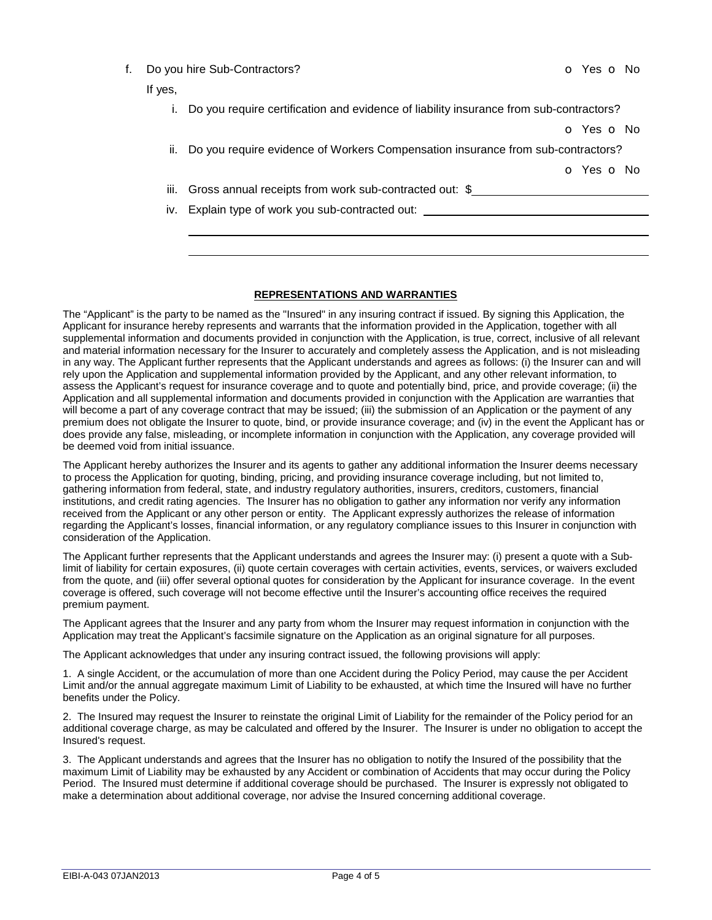| Do you hire Sub-Contractors? |  |
|------------------------------|--|
|------------------------------|--|

### If yes,

o Yes o No

ii. Do you require evidence of Workers Compensation insurance from sub-contractors?

o Yes o No

 

iii. Gross annual receipts from work sub-contracted out: \$

iv. Explain type of work you sub-contracted out:

#### **REPRESENTATIONS AND WARRANTIES**

The "Applicant" is the party to be named as the "Insured" in any insuring contract if issued. By signing this Application, the Applicant for insurance hereby represents and warrants that the information provided in the Application, together with all supplemental information and documents provided in conjunction with the Application, is true, correct, inclusive of all relevant and material information necessary for the Insurer to accurately and completely assess the Application, and is not misleading in any way. The Applicant further represents that the Applicant understands and agrees as follows: (i) the Insurer can and will rely upon the Application and supplemental information provided by the Applicant, and any other relevant information, to assess the Applicant's request for insurance coverage and to quote and potentially bind, price, and provide coverage; (ii) the Application and all supplemental information and documents provided in conjunction with the Application are warranties that will become a part of any coverage contract that may be issued; (iii) the submission of an Application or the payment of any premium does not obligate the Insurer to quote, bind, or provide insurance coverage; and (iv) in the event the Applicant has or does provide any false, misleading, or incomplete information in conjunction with the Application, any coverage provided will be deemed void from initial issuance.

The Applicant hereby authorizes the Insurer and its agents to gather any additional information the Insurer deems necessary to process the Application for quoting, binding, pricing, and providing insurance coverage including, but not limited to, gathering information from federal, state, and industry regulatory authorities, insurers, creditors, customers, financial institutions, and credit rating agencies. The Insurer has no obligation to gather any information nor verify any information received from the Applicant or any other person or entity. The Applicant expressly authorizes the release of information regarding the Applicant's losses, financial information, or any regulatory compliance issues to this Insurer in conjunction with consideration of the Application.

The Applicant further represents that the Applicant understands and agrees the Insurer may: (i) present a quote with a Sublimit of liability for certain exposures, (ii) quote certain coverages with certain activities, events, services, or waivers excluded from the quote, and (iii) offer several optional quotes for consideration by the Applicant for insurance coverage. In the event coverage is offered, such coverage will not become effective until the Insurer's accounting office receives the required premium payment.

The Applicant agrees that the Insurer and any party from whom the Insurer may request information in conjunction with the Application may treat the Applicant's facsimile signature on the Application as an original signature for all purposes.

The Applicant acknowledges that under any insuring contract issued, the following provisions will apply:

1. A single Accident, or the accumulation of more than one Accident during the Policy Period, may cause the per Accident Limit and/or the annual aggregate maximum Limit of Liability to be exhausted, at which time the Insured will have no further benefits under the Policy.

2. The Insured may request the Insurer to reinstate the original Limit of Liability for the remainder of the Policy period for an additional coverage charge, as may be calculated and offered by the Insurer. The Insurer is under no obligation to accept the Insured's request.

3. The Applicant understands and agrees that the Insurer has no obligation to notify the Insured of the possibility that the maximum Limit of Liability may be exhausted by any Accident or combination of Accidents that may occur during the Policy Period. The Insured must determine if additional coverage should be purchased. The Insurer is expressly not obligated to make a determination about additional coverage, nor advise the Insured concerning additional coverage.

o Yes o No